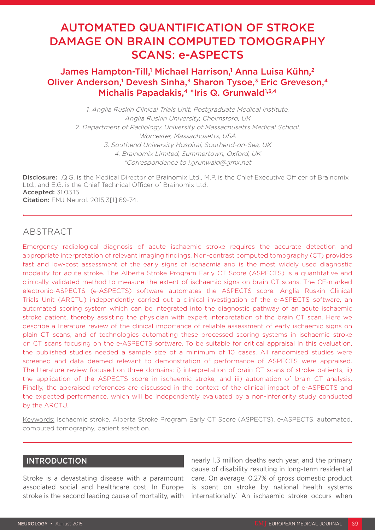# AUTOMATED QUANTIFICATION OF STROKE DAMAGE ON BRAIN COMPUTED TOMOGRAPHY SCANS: e-ASPECTS

# James Hampton-Till,<sup>1</sup> Michael Harrison,<sup>1</sup> Anna Luisa Kühn,<sup>2</sup> Oliver Anderson,<sup>1</sup> Devesh Sinha,<sup>3</sup> Sharon Tysoe,<sup>3</sup> Eric Greveson,<sup>4</sup> Michalis Papadakis.<sup>4</sup> \*Iris Q. Grunwald<sup>1,3,4</sup>

1. Anglia Ruskin Clinical Trials Unit, Postgraduate Medical Institute, Anglia Ruskin University, Chelmsford, UK 2. Department of Radiology, University of Massachusetts Medical School, Worcester, Massachusetts, USA 3. Southend University Hospital, Southend-on-Sea, UK 4. Brainomix Limited, Summertown, Oxford, UK \*Correspondence to i.grunwald@gmx.net

Disclosure: I.Q.G. is the Medical Director of Brainomix Ltd., M.P. is the Chief Executive Officer of Brainomix Ltd., and E.G. is the Chief Technical Officer of Brainomix Ltd. Accepted: 31.03.15 Citation: EMJ Neurol. 2015;3[1]:69-74.

# **ABSTRACT**

Emergency radiological diagnosis of acute ischaemic stroke requires the accurate detection and appropriate interpretation of relevant imaging findings. Non-contrast computed tomography (CT) provides fast and low-cost assessment of the early signs of ischaemia and is the most widely used diagnostic modality for acute stroke. The Alberta Stroke Program Early CT Score (ASPECTS) is a quantitative and clinically validated method to measure the extent of ischaemic signs on brain CT scans. The CE-marked electronic-ASPECTS (e-ASPECTS) software automates the ASPECTS score. Anglia Ruskin Clinical Trials Unit (ARCTU) independently carried out a clinical investigation of the e-ASPECTS software, an automated scoring system which can be integrated into the diagnostic pathway of an acute ischaemic stroke patient, thereby assisting the physician with expert interpretation of the brain CT scan. Here we describe a literature review of the clinical importance of reliable assessment of early ischaemic signs on plain CT scans, and of technologies automating these processed scoring systems in ischaemic stroke on CT scans focusing on the e-ASPECTS software. To be suitable for critical appraisal in this evaluation, the published studies needed a sample size of a minimum of 10 cases. All randomised studies were screened and data deemed relevant to demonstration of performance of ASPECTS were appraised. The literature review focused on three domains: i) interpretation of brain CT scans of stroke patients, ii) the application of the ASPECTS score in ischaemic stroke, and iii) automation of brain CT analysis. Finally, the appraised references are discussed in the context of the clinical impact of e-ASPECTS and the expected performance, which will be independently evaluated by a non-inferiority study conducted by the ARCTU.

Keywords: Ischaemic stroke, Alberta Stroke Program Early CT Score (ASPECTS), e-ASPECTS, automated, computed tomography, patient selection.

### INTRODUCTION

Stroke is a devastating disease with a paramount associated social and healthcare cost. In Europe stroke is the second leading cause of mortality, with

nearly 1.3 million deaths each year, and the primary cause of disability resulting in long-term residential care. On average, 0.27% of gross domestic product is spent on stroke by national health systems internationally.<sup>1</sup> An ischaemic stroke occurs when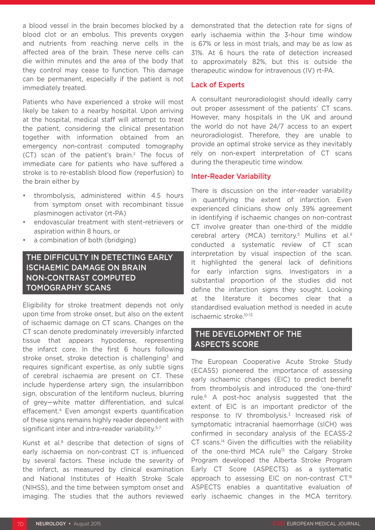a blood vessel in the brain becomes blocked by a blood clot or an embolus. This prevents oxygen and nutrients from reaching nerve cells in the affected area of the brain. These nerve cells can die within minutes and the area of the body that they control may cease to function. This damage can be permanent, especially if the patient is not immediately treated.

Patients who have experienced a stroke will most likely be taken to a nearby hospital. Upon arriving at the hospital, medical staff will attempt to treat the patient, considering the clinical presentation together with information obtained from an emergency non-contrast computed tomography (CT) scan of the patient's brain.2 The focus of immediate care for patients who have suffered a stroke is to re-establish blood flow (reperfusion) to the brain either by

- thrombolysis, administered within 4.5 hours from symptom onset with recombinant tissue plasminogen activator (rt-PA)
- endovascular treatment with stent-retrievers or aspiration within 8 hours, or
- a combination of both (bridging)

# THE DIFFICULTY IN DETECTING EARLY ISCHAEMIC DAMAGE ON BRAIN NON-CONTRAST COMPUTED TOMOGRAPHY SCANS

Eligibility for stroke treatment depends not only upon time from stroke onset, but also on the extent of ischaemic damage on CT scans. Changes on the CT scan denote predominately irreversibly infarcted tissue that appears hypodense, representing the infarct core. In the first 6 hours following stroke onset, stroke detection is challenging<sup>3</sup> and requires significant expertise, as only subtle signs of cerebral ischaemia are present on CT. These include hyperdense artery sign, the insularribbon sign, obscuration of the lentiform nucleus, blurring of grey—white matter differentiation, and sulcal effacement.4 Even amongst experts quantification of these signs remains highly reader dependent with significant inter and intra-reader variability.<sup>5-7</sup>

Kunst et al.<sup>8</sup> describe that detection of signs of early ischaemia on non-contrast CT is influenced by several factors. These include the severity of the infarct, as measured by clinical examination and National Institutes of Health Stroke Scale (NIHSS), and the time between symptom onset and imaging. The studies that the authors reviewed demonstrated that the detection rate for signs of early ischaemia within the 3-hour time window is 67% or less in most trials, and may be as low as 31%. At 6 hours the rate of detection increased to approximately 82%, but this is outside the therapeutic window for intravenous (IV) rt-PA.

#### Lack of Experts

A consultant neuroradiologist should ideally carry out proper assessment of the patients' CT scans. However, many hospitals in the UK and around the world do not have 24/7 access to an expert neuroradiologist. Therefore, they are unable to provide an optimal stroke service as they inevitably rely on non-expert interpretation of CT scans during the therapeutic time window.

#### Inter-Reader Variability

There is discussion on the inter-reader variability in quantifying the extent of infarction. Even experienced clinicians show only 39% agreement in identifying if ischaemic changes on non-contrast CT involve greater than one-third of the middle cerebral artery (MCA) territory.<sup>5</sup> Mullins et al.<sup>9</sup> conducted a systematic review of CT scan interpretation by visual inspection of the scan. It highlighted the general lack of definitions for early infarction signs. Investigators in a substantial proportion of the studies did not define the infarction signs they sought. Looking at the literature it becomes clear that a standardised evaluation method is needed in acute ischaemic stroke.10-13

# THE DEVELOPMENT OF THE ASPECTS SCORE

The European Cooperative Acute Stroke Study (ECASS) pioneered the importance of assessing early ischaemic changes (EIC) to predict benefit from thrombolysis and introduced the 'one-third' rule.8 A post-hoc analysis suggested that the extent of EIC is an important predictor of the response to IV thrombolysis.<sup>3</sup> Increased risk of symptomatic intracranial haemorrhage (sICH) was confirmed in secondary analysis of the ECASS-2 CT scans.14 Given the difficulties with the reliability of the one-third MCA rule<sup>15</sup> the Calgary Stroke Program developed the Alberta Stroke Program Early CT Score (ASPECTS) as a systematic approach to assessing EIC on non-contrast CT.<sup>16</sup> ASPECTS enables a quantitative evaluation of early ischaemic changes in the MCA territory.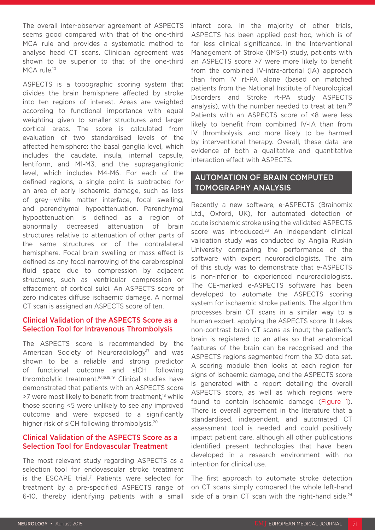The overall inter-observer agreement of ASPECTS seems good compared with that of the one-third MCA rule and provides a systematic method to analyse head CT scans. Clinician agreement was shown to be superior to that of the one-third MCA rule.<sup>10</sup>

ASPECTS is a topographic scoring system that divides the brain hemisphere affected by stroke into ten regions of interest. Areas are weighted according to functional importance with equal weighting given to smaller structures and larger cortical areas. The score is calculated from evaluation of two standardised levels of the affected hemisphere: the basal ganglia level, which includes the caudate, insula, internal capsule, lentiform, and M1-M3, and the supraganglionic level, which includes M4-M6. For each of the defined regions, a single point is subtracted for an area of early ischaemic damage, such as loss of grey—white matter interface, focal swelling, and parenchymal hypoattenuation. Parenchymal hypoattenuation is defined as a region of abnormally decreased attenuation of brain structures relative to attenuation of other parts of the same structures or of the contralateral hemisphere. Focal brain swelling or mass effect is defined as any focal narrowing of the cerebrospinal fluid space due to compression by adjacent structures, such as ventricular compression or effacement of cortical sulci. An ASPECTS score of zero indicates diffuse ischaemic damage. A normal CT scan is assigned an ASPECTS score of ten.

### Clinical Validation of the ASPECTS Score as a Selection Tool for Intravenous Thrombolysis

The ASPECTS score is recommended by the American Society of Neuroradiology<sup>17</sup> and was shown to be a reliable and strong predictor of functional outcome and sICH following thrombolytic treatment.10,16,18,19 Clinical studies have demonstrated that patients with an ASPECTS score >7 were most likely to benefit from treatment.<sup>18</sup> while those scoring <5 were unlikely to see any improved outcome and were exposed to a significantly higher risk of sICH following thrombolysis.20

### Clinical Validation of the ASPECTS Score as a Selection Tool for Endovascular Treatment

The most relevant study regarding ASPECTS as a selection tool for endovascular stroke treatment is the ESCAPE trial.<sup>21</sup> Patients were selected for treatment by a pre-specified ASPECTS range of 6-10, thereby identifying patients with a small infarct core. In the majority of other trials, ASPECTS has been applied post-hoc, which is of far less clinical significance. In the Interventional Management of Stroke (IMS-1) study, patients with an ASPECTS score >7 were more likely to benefit from the combined IV-intra-arterial (IA) approach than from IV rt-PA alone (based on matched patients from the National Institute of Neurological Disorders and Stroke rt-PA study ASPECTS analysis), with the number needed to treat at ten.<sup>22</sup> Patients with an ASPECTS score of <8 were less likely to benefit from combined IV-IA than from IV thrombolysis, and more likely to be harmed by interventional therapy. Overall, these data are evidence of both a qualitative and quantitative interaction effect with ASPECTS.

### AUTOMATION OF BRAIN COMPUTED TOMOGRAPHY ANALYSIS

Recently a new software, e-ASPECTS (Brainomix Ltd., Oxford, UK), for automated detection of acute ischaemic stroke using the validated ASPECTS score was introduced.<sup>23</sup> An independent clinical validation study was conducted by Anglia Ruskin University comparing the performance of the software with expert neuroradiologists. The aim of this study was to demonstrate that e-ASPECTS is non-inferior to experienced neuroradiologists. The CE-marked e-ASPECTS software has been developed to automate the ASPECTS scoring system for ischaemic stroke patients. The algorithm processes brain CT scans in a similar way to a human expert, applying the ASPECTS score. It takes non-contrast brain CT scans as input; the patient's brain is registered to an atlas so that anatomical features of the brain can be recognised and the ASPECTS regions segmented from the 3D data set. A scoring module then looks at each region for signs of ischaemic damage, and the ASPECTS score is generated with a report detailing the overall ASPECTS score, as well as which regions were found to contain ischaemic damage (Figure 1). There is overall agreement in the literature that a standardised, independent, and automated CT assessment tool is needed and could positively impact patient care, although all other publications identified present technologies that have been developed in a research environment with no intention for clinical use.

The first approach to automate stroke detection on CT scans simply compared the whole left-hand side of a brain CT scan with the right-hand side.<sup>24</sup>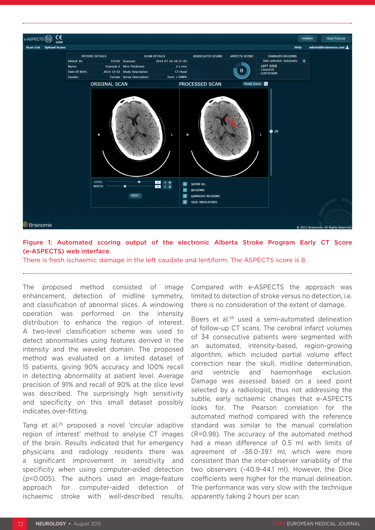

#### Figure 1: Automated scoring output of the electronic Alberta Stroke Program Early CT Score (e-ASPECTS) web interface.

There is fresh ischaemic damage in the left caudate and lentiform. The ASPECTS score is 8.

The proposed method consisted of image enhancement, detection of midline symmetry, and classification of abnormal slices. A windowing operation was performed on the intensity distribution to enhance the region of interest. A two-level classification scheme was used to detect abnormalities using features derived in the intensity and the wavelet domain. The proposed method was evaluated on a limited dataset of 15 patients, giving 90% accuracy and 100% recall in detecting abnormality at patient level. Average precision of 91% and recall of 90% at the slice level was described. The surprisingly high sensitivity and specificity on this small dataset possibly indicates over-fitting.

Tang et al.25 proposed a novel 'circular adaptive region of interest' method to analyse CT images of the brain. Results indicated that for emergency physicians and radiology residents there was a significant improvement in sensitivity and specificity when using computer-aided detection (p<0.005). The authors used an image-feature approach for computer-aided detection of ischaemic stroke with well-described results. Compared with e-ASPECTS the approach was limited to detection of stroke versus no detection, i.e. there is no consideration of the extent of damage.

Boers et al.<sup>26</sup> used a semi-automated delineation of follow-up CT scans. The cerebral infarct volumes of 34 consecutive patients were segmented with an automated, intensity-based, region-growing algorithm, which included partial volume effect correction near the skull, midline determination, and ventricle and haemorrhage exclusion. Damage was assessed based on a seed point selected by a radiologist, thus not addressing the subtle, early ischaemic changes that e-ASPECTS looks for. The Pearson correlation for the automated method compared with the reference standard was similar to the manual correlation (R=0.98). The accuracy of the automated method had a mean difference of 0.5 ml with limits of agreement of -38.0-39.1 ml, which were more consistent than the inter-observer variability of the two observers (-40.9-44.1 ml). However, the Dice coefficients were higher for the manual delineation. The performance was very slow with the technique apparently taking 2 hours per scan.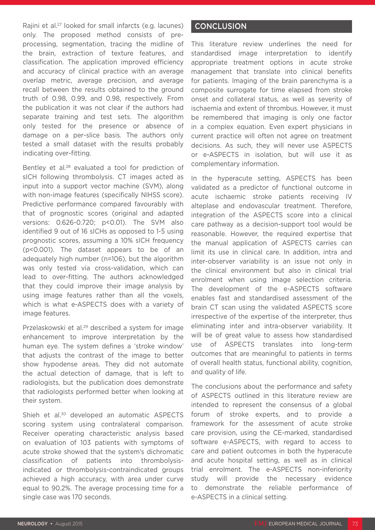Rajini et al.27 looked for small infarcts (e.g. lacunes) only. The proposed method consists of preprocessing, segmentation, tracing the midline of the brain, extraction of texture features, and classification. The application improved efficiency and accuracy of clinical practice with an average overlap metric, average precision, and average recall between the results obtained to the ground truth of 0.98, 0.99, and 0.98, respectively. From the publication it was not clear if the authors had separate training and test sets. The algorithm only tested for the presence or absence of damage on a per-slice basis. The authors only tested a small dataset with the results probably indicating over-fitting.

Bentley et al.<sup>28</sup> evaluated a tool for prediction of sICH following thrombolysis. CT images acted as input into a support vector machine (SVM), along with non-image features (specifically NIHSS score). Predictive performance compared favourably with that of prognostic scores (original and adapted versions: 0.626-0.720; p<0.01). The SVM also identified 9 out of 16 sICHs as opposed to 1-5 using prognostic scores, assuming a 10% sICH frequency (p<0.001). The dataset appears to be of an adequately high number (n=106), but the algorithm was only tested via cross-validation, which can lead to over-fitting. The authors acknowledged that they could improve their image analysis by using image features rather than all the voxels, which is what e-ASPECTS does with a variety of image features.

Przelaskowski et al.29 described a system for image enhancement to improve interpretation by the human eye. The system defines a 'stroke window' that adjusts the contrast of the image to better show hypodense areas. They did not automate the actual detection of damage, that is left to radiologists, but the publication does demonstrate that radiologists performed better when looking at their system.

Shieh et al.<sup>30</sup> developed an automatic ASPECTS scoring system using contralateral comparison. Receiver operating characteristic analysis based on evaluation of 103 patients with symptoms of acute stroke showed that the system's dichromatic classification of patients into thrombolysisindicated or thrombolysis-contraindicated groups achieved a high accuracy, with area under curve equal to 90.2%. The average processing time for a single case was 170 seconds.

### **CONCLUSION**

This literature review underlines the need for standardised image interpretation to identify appropriate treatment options in acute stroke management that translate into clinical benefits for patients. Imaging of the brain parenchyma is a composite surrogate for time elapsed from stroke onset and collateral status, as well as severity of ischaemia and extent of thrombus. However, it must be remembered that imaging is only one factor in a complex equation. Even expert physicians in current practice will often not agree on treatment decisions. As such, they will never use ASPECTS or e-ASPECTS in isolation, but will use it as complementary information.

In the hyperacute setting, ASPECTS has been validated as a predictor of functional outcome in acute ischaemic stroke patients receiving IV alteplase and endovascular treatment. Therefore, integration of the ASPECTS score into a clinical care pathway as a decision-support tool would be reasonable. However, the required expertise that the manual application of ASPECTS carries can limit its use in clinical care. In addition, intra and inter-observer variability is an issue not only in the clinical environment but also in clinical trial enrolment when using image selection criteria. The development of the e-ASPECTS software enables fast and standardised assessment of the brain CT scan using the validated ASPECTS score irrespective of the expertise of the interpreter, thus eliminating inter and intra-observer variability. It will be of great value to assess how standardised use of ASPECTS translates into long-term outcomes that are meaningful to patients in terms of overall health status, functional ability, cognition, and quality of life.

The conclusions about the performance and safety of ASPECTS outlined in this literature review are intended to represent the consensus of a global forum of stroke experts, and to provide a framework for the assessment of acute stroke care provision, using the CE-marked, standardised software e-ASPECTS, with regard to access to care and patient outcomes in both the hyperacute and acute hospital setting, as well as in clinical trial enrolment. The e-ASPECTS non-inferiority study will provide the necessary evidence to demonstrate the reliable performance of e-ASPECTS in a clinical setting.